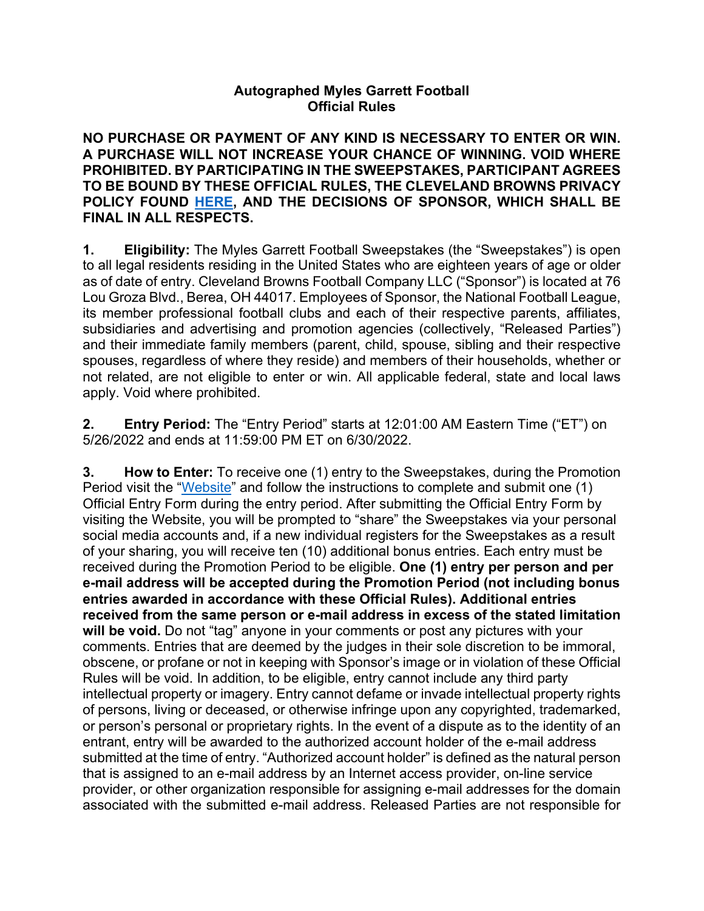## **Autographed Myles Garrett Football Official Rules**

**NO PURCHASE OR PAYMENT OF ANY KIND IS NECESSARY TO ENTER OR WIN. A PURCHASE WILL NOT INCREASE YOUR CHANCE OF WINNING. VOID WHERE PROHIBITED. BY PARTICIPATING IN THE SWEEPSTAKES, PARTICIPANT AGREES TO BE BOUND BY THESE OFFICIAL RULES, THE CLEVELAND BROWNS PRIVACY POLICY FOUND HERE, AND THE DECISIONS OF SPONSOR, WHICH SHALL BE FINAL IN ALL RESPECTS.** 

**1. Eligibility:** The Myles Garrett Football Sweepstakes (the "Sweepstakes") is open to all legal residents residing in the United States who are eighteen years of age or older as of date of entry. Cleveland Browns Football Company LLC ("Sponsor") is located at 76 Lou Groza Blvd., Berea, OH 44017. Employees of Sponsor, the National Football League, its member professional football clubs and each of their respective parents, affiliates, subsidiaries and advertising and promotion agencies (collectively, "Released Parties") and their immediate family members (parent, child, spouse, sibling and their respective spouses, regardless of where they reside) and members of their households, whether or not related, are not eligible to enter or win. All applicable federal, state and local laws apply. Void where prohibited.

**2. Entry Period:** The "Entry Period" starts at 12:01:00 AM Eastern Time ("ET") on 5/26/2022 and ends at 11:59:00 PM ET on 6/30/2022.

**3. How to Enter:** To receive one (1) entry to the Sweepstakes, during the Promotion Period visit the "Website" and follow the instructions to complete and submit one (1) Official Entry Form during the entry period. After submitting the Official Entry Form by visiting the Website, you will be prompted to "share" the Sweepstakes via your personal social media accounts and, if a new individual registers for the Sweepstakes as a result of your sharing, you will receive ten (10) additional bonus entries. Each entry must be received during the Promotion Period to be eligible. **One (1) entry per person and per e-mail address will be accepted during the Promotion Period (not including bonus entries awarded in accordance with these Official Rules). Additional entries received from the same person or e-mail address in excess of the stated limitation will be void.** Do not "tag" anyone in your comments or post any pictures with your comments. Entries that are deemed by the judges in their sole discretion to be immoral, obscene, or profane or not in keeping with Sponsor's image or in violation of these Official Rules will be void. In addition, to be eligible, entry cannot include any third party intellectual property or imagery. Entry cannot defame or invade intellectual property rights of persons, living or deceased, or otherwise infringe upon any copyrighted, trademarked, or person's personal or proprietary rights. In the event of a dispute as to the identity of an entrant, entry will be awarded to the authorized account holder of the e-mail address submitted at the time of entry. "Authorized account holder" is defined as the natural person that is assigned to an e-mail address by an Internet access provider, on-line service provider, or other organization responsible for assigning e-mail addresses for the domain associated with the submitted e-mail address. Released Parties are not responsible for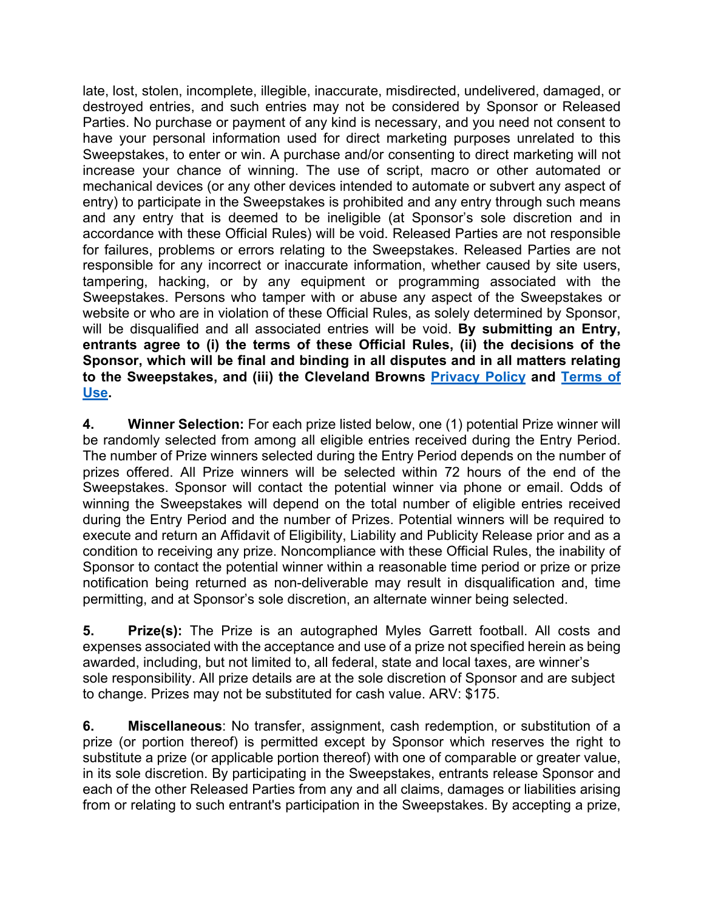late, lost, stolen, incomplete, illegible, inaccurate, misdirected, undelivered, damaged, or destroyed entries, and such entries may not be considered by Sponsor or Released Parties. No purchase or payment of any kind is necessary, and you need not consent to have your personal information used for direct marketing purposes unrelated to this Sweepstakes, to enter or win. A purchase and/or consenting to direct marketing will not increase your chance of winning. The use of script, macro or other automated or mechanical devices (or any other devices intended to automate or subvert any aspect of entry) to participate in the Sweepstakes is prohibited and any entry through such means and any entry that is deemed to be ineligible (at Sponsor's sole discretion and in accordance with these Official Rules) will be void. Released Parties are not responsible for failures, problems or errors relating to the Sweepstakes. Released Parties are not responsible for any incorrect or inaccurate information, whether caused by site users, tampering, hacking, or by any equipment or programming associated with the Sweepstakes. Persons who tamper with or abuse any aspect of the Sweepstakes or website or who are in violation of these Official Rules, as solely determined by Sponsor, will be disqualified and all associated entries will be void. **By submitting an Entry, entrants agree to (i) the terms of these Official Rules, (ii) the decisions of the Sponsor, which will be final and binding in all disputes and in all matters relating to the Sweepstakes, and (iii) the Cleveland Browns Privacy Policy and Terms of Use.** 

**4. Winner Selection:** For each prize listed below, one (1) potential Prize winner will be randomly selected from among all eligible entries received during the Entry Period. The number of Prize winners selected during the Entry Period depends on the number of prizes offered. All Prize winners will be selected within 72 hours of the end of the Sweepstakes. Sponsor will contact the potential winner via phone or email. Odds of winning the Sweepstakes will depend on the total number of eligible entries received during the Entry Period and the number of Prizes. Potential winners will be required to execute and return an Affidavit of Eligibility, Liability and Publicity Release prior and as a condition to receiving any prize. Noncompliance with these Official Rules, the inability of Sponsor to contact the potential winner within a reasonable time period or prize or prize notification being returned as non-deliverable may result in disqualification and, time permitting, and at Sponsor's sole discretion, an alternate winner being selected.

**5. Prize(s):** The Prize is an autographed Myles Garrett football. All costs and expenses associated with the acceptance and use of a prize not specified herein as being awarded, including, but not limited to, all federal, state and local taxes, are winner's sole responsibility. All prize details are at the sole discretion of Sponsor and are subject to change. Prizes may not be substituted for cash value. ARV: \$175.

**6. Miscellaneous**: No transfer, assignment, cash redemption, or substitution of a prize (or portion thereof) is permitted except by Sponsor which reserves the right to substitute a prize (or applicable portion thereof) with one of comparable or greater value, in its sole discretion. By participating in the Sweepstakes, entrants release Sponsor and each of the other Released Parties from any and all claims, damages or liabilities arising from or relating to such entrant's participation in the Sweepstakes. By accepting a prize,